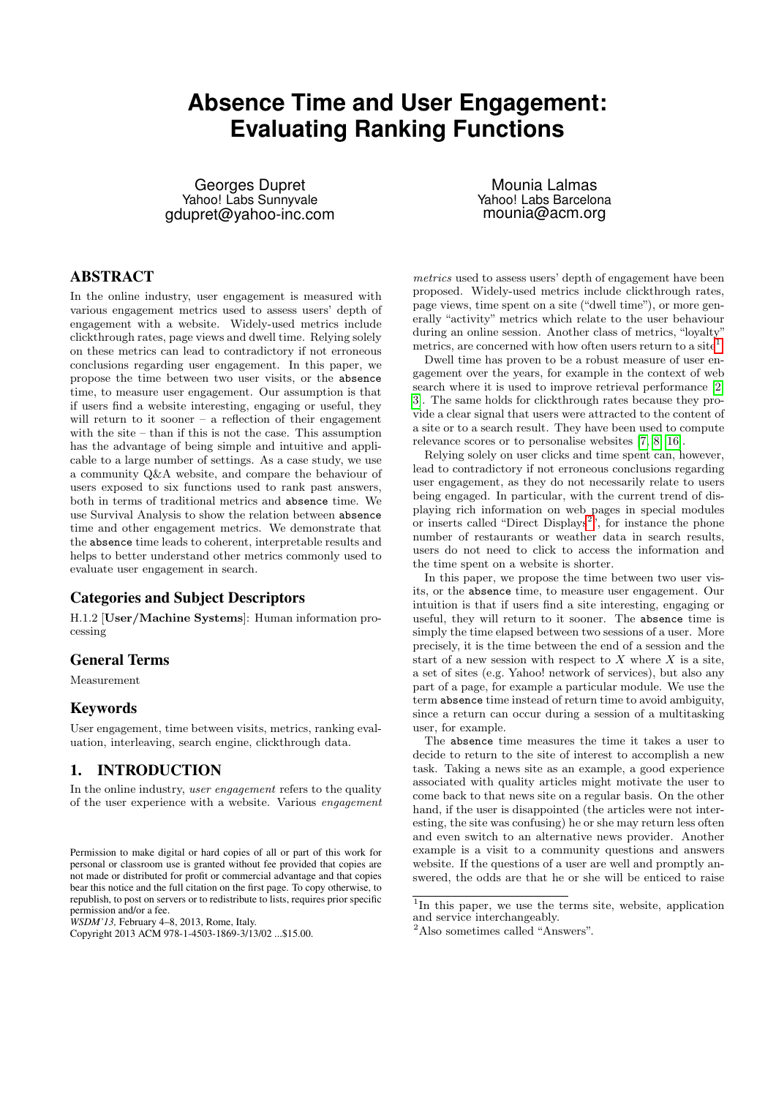# **Absence Time and User Engagement: Evaluating Ranking Functions**

Georges Dupret Yahoo! Labs Sunnyvale gdupret@yahoo-inc.com

Mounia Lalmas Yahoo! Labs Barcelona mounia@acm.org

# ABSTRACT

In the online industry, user engagement is measured with various engagement metrics used to assess users' depth of engagement with a website. Widely-used metrics include clickthrough rates, page views and dwell time. Relying solely on these metrics can lead to contradictory if not erroneous conclusions regarding user engagement. In this paper, we propose the time between two user visits, or the absence time, to measure user engagement. Our assumption is that if users find a website interesting, engaging or useful, they will return to it sooner – a reflection of their engagement with the site – than if this is not the case. This assumption has the advantage of being simple and intuitive and applicable to a large number of settings. As a case study, we use a community Q&A website, and compare the behaviour of users exposed to six functions used to rank past answers, both in terms of traditional metrics and absence time. We use Survival Analysis to show the relation between absence time and other engagement metrics. We demonstrate that the absence time leads to coherent, interpretable results and helps to better understand other metrics commonly used to evaluate user engagement in search.

## Categories and Subject Descriptors

H.1.2 [User/Machine Systems]: Human information processing

## General Terms

Measurement

#### Keywords

User engagement, time between visits, metrics, ranking evaluation, interleaving, search engine, clickthrough data.

## 1. INTRODUCTION

In the online industry, user engagement refers to the quality of the user experience with a website. Various engagement

*WSDM'13,* February 4–8, 2013, Rome, Italy.

metrics used to assess users' depth of engagement have been proposed. Widely-used metrics include clickthrough rates, page views, time spent on a site ("dwell time"), or more generally "activity" metrics which relate to the user behaviour during an online session. Another class of metrics, "loyalty" metrics, are concerned with how often users return to a site<sup>[1](#page-0-0)</sup>.

Dwell time has proven to be a robust measure of user engagement over the years, for example in the context of web search where it is used to improve retrieval performance [\[2,](#page-9-0) [3\]](#page-9-1). The same holds for clickthrough rates because they provide a clear signal that users were attracted to the content of a site or to a search result. They have been used to compute relevance scores or to personalise websites [\[7,](#page-9-2) [8,](#page-9-3) [16\]](#page-9-4).

Relying solely on user clicks and time spent can, however, lead to contradictory if not erroneous conclusions regarding user engagement, as they do not necessarily relate to users being engaged. In particular, with the current trend of displaying rich information on web pages in special modules or inserts called "Direct Displays<sup>[2](#page-0-1)</sup>", for instance the phone number of restaurants or weather data in search results, users do not need to click to access the information and the time spent on a website is shorter.

In this paper, we propose the time between two user visits, or the absence time, to measure user engagement. Our intuition is that if users find a site interesting, engaging or useful, they will return to it sooner. The absence time is simply the time elapsed between two sessions of a user. More precisely, it is the time between the end of a session and the start of a new session with respect to  $X$  where  $X$  is a site, a set of sites (e.g. Yahoo! network of services), but also any part of a page, for example a particular module. We use the term absence time instead of return time to avoid ambiguity, since a return can occur during a session of a multitasking user, for example.

The absence time measures the time it takes a user to decide to return to the site of interest to accomplish a new task. Taking a news site as an example, a good experience associated with quality articles might motivate the user to come back to that news site on a regular basis. On the other hand, if the user is disappointed (the articles were not interesting, the site was confusing) he or she may return less often and even switch to an alternative news provider. Another example is a visit to a community questions and answers website. If the questions of a user are well and promptly answered, the odds are that he or she will be enticed to raise

<span id="page-0-0"></span><sup>1</sup>In this paper, we use the terms site, website, application and service interchangeably.

Permission to make digital or hard copies of all or part of this work for personal or classroom use is granted without fee provided that copies are not made or distributed for profit or commercial advantage and that copies bear this notice and the full citation on the first page. To copy otherwise, to republish, to post on servers or to redistribute to lists, requires prior specific permission and/or a fee.

Copyright 2013 ACM 978-1-4503-1869-3/13/02 ...\$15.00.

<span id="page-0-1"></span><sup>2</sup>Also sometimes called "Answers".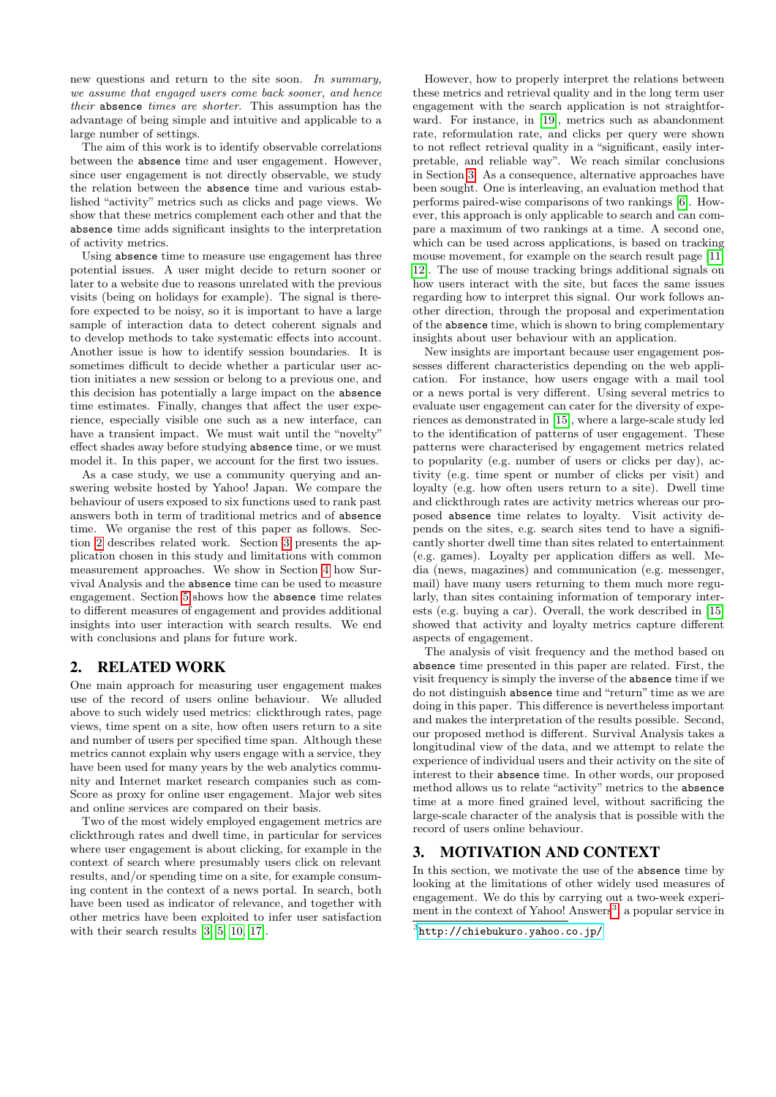new questions and return to the site soon. In summary, we assume that engaged users come back sooner, and hence their absence times are shorter. This assumption has the advantage of being simple and intuitive and applicable to a large number of settings.

The aim of this work is to identify observable correlations between the absence time and user engagement. However, since user engagement is not directly observable, we study the relation between the absence time and various established "activity" metrics such as clicks and page views. We show that these metrics complement each other and that the absence time adds significant insights to the interpretation of activity metrics.

Using absence time to measure use engagement has three potential issues. A user might decide to return sooner or later to a website due to reasons unrelated with the previous visits (being on holidays for example). The signal is therefore expected to be noisy, so it is important to have a large sample of interaction data to detect coherent signals and to develop methods to take systematic effects into account. Another issue is how to identify session boundaries. It is sometimes difficult to decide whether a particular user action initiates a new session or belong to a previous one, and this decision has potentially a large impact on the absence time estimates. Finally, changes that affect the user experience, especially visible one such as a new interface, can have a transient impact. We must wait until the "novelty" effect shades away before studying absence time, or we must model it. In this paper, we account for the first two issues.

As a case study, we use a community querying and answering website hosted by Yahoo! Japan. We compare the behaviour of users exposed to six functions used to rank past answers both in term of traditional metrics and of absence time. We organise the rest of this paper as follows. Section [2](#page-1-0) describes related work. Section [3](#page-1-1) presents the application chosen in this study and limitations with common measurement approaches. We show in Section [4](#page-4-0) how Survival Analysis and the absence time can be used to measure engagement. Section [5](#page-5-0) shows how the absence time relates to different measures of engagement and provides additional insights into user interaction with search results. We end with conclusions and plans for future work.

## <span id="page-1-0"></span>2. RELATED WORK

One main approach for measuring user engagement makes use of the record of users online behaviour. We alluded above to such widely used metrics: clickthrough rates, page views, time spent on a site, how often users return to a site and number of users per specified time span. Although these metrics cannot explain why users engage with a service, they have been used for many years by the web analytics community and Internet market research companies such as com-Score as proxy for online user engagement. Major web sites and online services are compared on their basis.

Two of the most widely employed engagement metrics are clickthrough rates and dwell time, in particular for services where user engagement is about clicking, for example in the context of search where presumably users click on relevant results, and/or spending time on a site, for example consuming content in the context of a news portal. In search, both have been used as indicator of relevance, and together with other metrics have been exploited to infer user satisfaction with their search results [\[3,](#page-9-1) [5,](#page-9-5) [10,](#page-9-6) [17\]](#page-9-7).

However, how to properly interpret the relations between these metrics and retrieval quality and in the long term user engagement with the search application is not straightforward. For instance, in [\[19\]](#page-9-8), metrics such as abandonment rate, reformulation rate, and clicks per query were shown to not reflect retrieval quality in a "significant, easily interpretable, and reliable way". We reach similar conclusions in Section [3.](#page-1-1) As a consequence, alternative approaches have been sought. One is interleaving, an evaluation method that performs paired-wise comparisons of two rankings [\[6\]](#page-9-9). However, this approach is only applicable to search and can compare a maximum of two rankings at a time. A second one, which can be used across applications, is based on tracking mouse movement, for example on the search result page [\[11,](#page-9-10) [12\]](#page-9-11). The use of mouse tracking brings additional signals on how users interact with the site, but faces the same issues regarding how to interpret this signal. Our work follows another direction, through the proposal and experimentation of the absence time, which is shown to bring complementary insights about user behaviour with an application.

New insights are important because user engagement possesses different characteristics depending on the web application. For instance, how users engage with a mail tool or a news portal is very different. Using several metrics to evaluate user engagement can cater for the diversity of experiences as demonstrated in [\[15\]](#page-9-12), where a large-scale study led to the identification of patterns of user engagement. These patterns were characterised by engagement metrics related to popularity (e.g. number of users or clicks per day), activity (e.g. time spent or number of clicks per visit) and loyalty (e.g. how often users return to a site). Dwell time and clickthrough rates are activity metrics whereas our proposed absence time relates to loyalty. Visit activity depends on the sites, e.g. search sites tend to have a significantly shorter dwell time than sites related to entertainment (e.g. games). Loyalty per application differs as well. Media (news, magazines) and communication (e.g. messenger, mail) have many users returning to them much more regularly, than sites containing information of temporary interests (e.g. buying a car). Overall, the work described in [\[15\]](#page-9-12) showed that activity and loyalty metrics capture different aspects of engagement.

The analysis of visit frequency and the method based on absence time presented in this paper are related. First, the visit frequency is simply the inverse of the absence time if we do not distinguish absence time and "return" time as we are doing in this paper. This difference is nevertheless important and makes the interpretation of the results possible. Second, our proposed method is different. Survival Analysis takes a longitudinal view of the data, and we attempt to relate the experience of individual users and their activity on the site of interest to their absence time. In other words, our proposed method allows us to relate "activity" metrics to the absence time at a more fined grained level, without sacrificing the large-scale character of the analysis that is possible with the record of users online behaviour.

## <span id="page-1-1"></span>3. MOTIVATION AND CONTEXT

In this section, we motivate the use of the absence time by looking at the limitations of other widely used measures of engagement. We do this by carrying out a two-week experi-ment in the context of Yahoo! Answers<sup>[3](#page-1-2)</sup>, a popular service in

<span id="page-1-2"></span> $^3$ <http://chiebukuro.yahoo.co.jp/>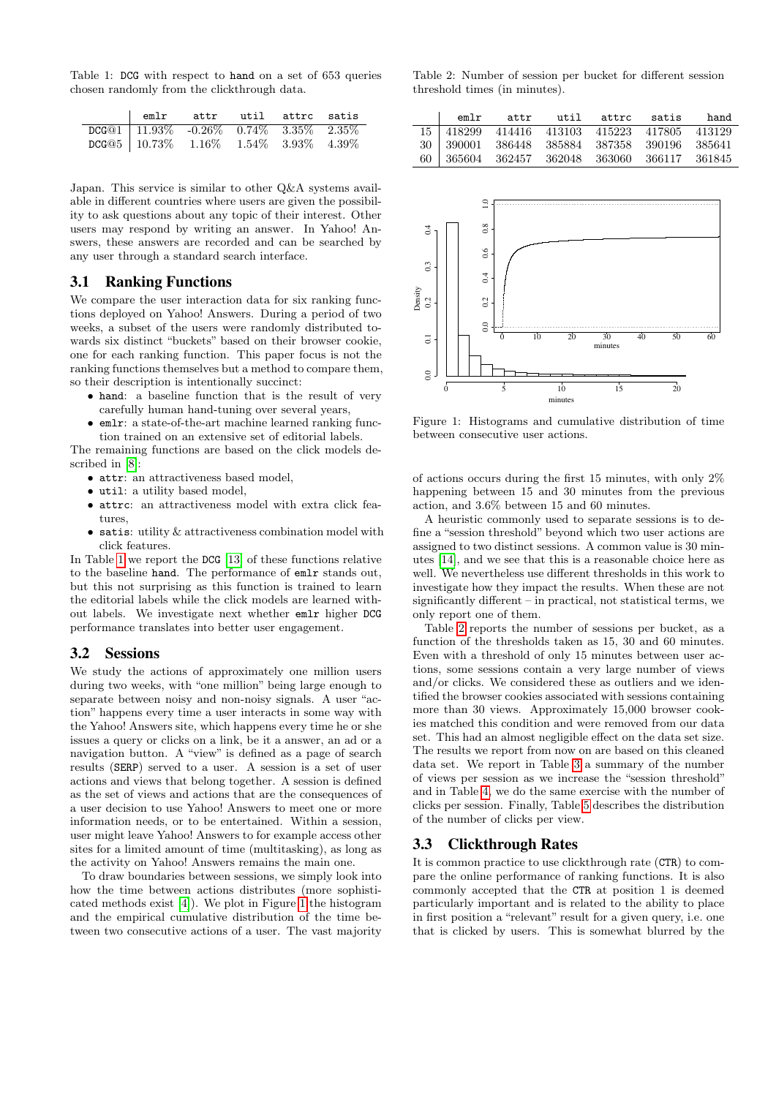<span id="page-2-0"></span>Table 1: DCG with respect to hand on a set of 653 queries chosen randomly from the clickthrough data.

| emlr attr util attrc satis                                                                                                                                        |  |  |
|-------------------------------------------------------------------------------------------------------------------------------------------------------------------|--|--|
| $\begin{array}{cccccc} \texttt{DCG@1} & 11.93\% & -0.26\% & 0.74\% & 3.35\% & 2.35\% \\ \texttt{DCG@5} & 10.73\% & 1.16\% & 1.54\% & 3.93\% & 4.39\% \end{array}$ |  |  |
|                                                                                                                                                                   |  |  |

Japan. This service is similar to other Q&A systems available in different countries where users are given the possibility to ask questions about any topic of their interest. Other users may respond by writing an answer. In Yahoo! Answers, these answers are recorded and can be searched by any user through a standard search interface.

## 3.1 Ranking Functions

We compare the user interaction data for six ranking functions deployed on Yahoo! Answers. During a period of two weeks, a subset of the users were randomly distributed towards six distinct "buckets" based on their browser cookie, one for each ranking function. This paper focus is not the ranking functions themselves but a method to compare them, so their description is intentionally succinct:

- hand: a baseline function that is the result of very carefully human hand-tuning over several years,
- emlr: a state-of-the-art machine learned ranking function trained on an extensive set of editorial labels.

The remaining functions are based on the click models described in [\[8\]](#page-9-3):

- attr: an attractiveness based model,
- util: a utility based model,
- attrc: an attractiveness model with extra click features,
- satis: utility & attractiveness combination model with click features.

In Table [1](#page-2-0) we report the DCG [\[13\]](#page-9-13) of these functions relative to the baseline hand. The performance of emlr stands out, but this not surprising as this function is trained to learn the editorial labels while the click models are learned without labels. We investigate next whether emlr higher DCG performance translates into better user engagement.

## 3.2 Sessions

We study the actions of approximately one million users during two weeks, with "one million" being large enough to separate between noisy and non-noisy signals. A user "action" happens every time a user interacts in some way with the Yahoo! Answers site, which happens every time he or she issues a query or clicks on a link, be it a answer, an ad or a navigation button. A "view" is defined as a page of search results (SERP) served to a user. A session is a set of user actions and views that belong together. A session is defined as the set of views and actions that are the consequences of a user decision to use Yahoo! Answers to meet one or more information needs, or to be entertained. Within a session, user might leave Yahoo! Answers to for example access other sites for a limited amount of time (multitasking), as long as the activity on Yahoo! Answers remains the main one.

To draw boundaries between sessions, we simply look into how the time between actions distributes (more sophisticated methods exist [\[4\]](#page-9-14)). We plot in Figure [1](#page-2-1) the histogram and the empirical cumulative distribution of the time between two consecutive actions of a user. The vast majority <span id="page-2-2"></span>Table 2: Number of session per bucket for different session threshold times (in minutes).

|  | emlr attr util attrc satis hand                                                                                    |  |  |
|--|--------------------------------------------------------------------------------------------------------------------|--|--|
|  | $\boxed{15 \quad 418299 \quad 414416 \quad 413103 \quad 415223 \quad 417805 \quad 413129}$                         |  |  |
|  | $30\begin{array}{l}\ 390001\quad \  386448\quad \  385884\quad \  387358\quad \  390196\quad \  385641\end{array}$ |  |  |
|  | 60 365604 362457 362048 363060 366117 361845                                                                       |  |  |

<span id="page-2-1"></span>

Figure 1: Histograms and cumulative distribution of time between consecutive user actions.

of actions occurs during the first 15 minutes, with only 2% happening between 15 and 30 minutes from the previous action, and 3.6% between 15 and 60 minutes.

A heuristic commonly used to separate sessions is to define a "session threshold" beyond which two user actions are assigned to two distinct sessions. A common value is 30 minutes [\[14\]](#page-9-15), and we see that this is a reasonable choice here as well. We nevertheless use different thresholds in this work to investigate how they impact the results. When these are not significantly different – in practical, not statistical terms, we only report one of them.

Table [2](#page-2-2) reports the number of sessions per bucket, as a function of the thresholds taken as 15, 30 and 60 minutes. Even with a threshold of only 15 minutes between user actions, some sessions contain a very large number of views and/or clicks. We considered these as outliers and we identified the browser cookies associated with sessions containing more than 30 views. Approximately 15,000 browser cookies matched this condition and were removed from our data set. This had an almost negligible effect on the data set size. The results we report from now on are based on this cleaned data set. We report in Table [3](#page-3-0) a summary of the number of views per session as we increase the "session threshold" and in Table [4,](#page-3-0) we do the same exercise with the number of clicks per session. Finally, Table [5](#page-3-0) describes the distribution of the number of clicks per view.

## 3.3 Clickthrough Rates

It is common practice to use clickthrough rate (CTR) to compare the online performance of ranking functions. It is also commonly accepted that the CTR at position 1 is deemed particularly important and is related to the ability to place in first position a "relevant" result for a given query, i.e. one that is clicked by users. This is somewhat blurred by the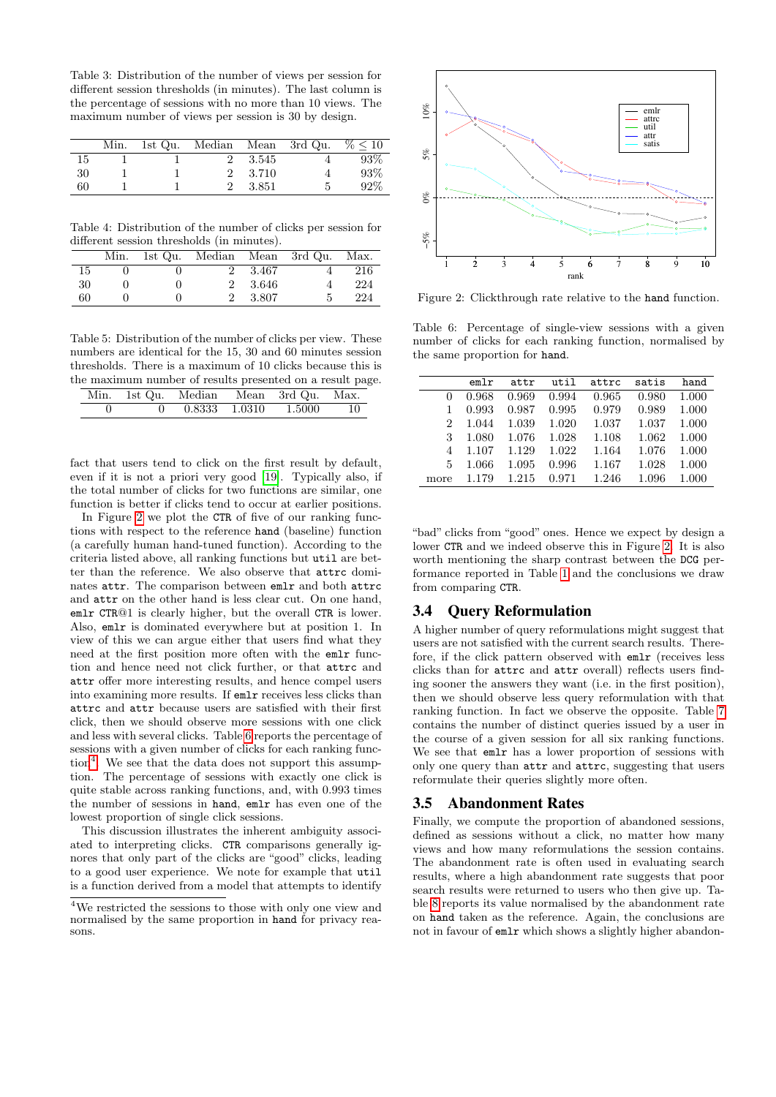<span id="page-3-0"></span>Table 3: Distribution of the number of views per session for different session thresholds (in minutes). The last column is the percentage of sessions with no more than 10 views. The maximum number of views per session is 30 by design.

|    | Min. |  |         | 1st Qu. Median Mean 3rd Qu. $\%$ < 10 |        |
|----|------|--|---------|---------------------------------------|--------|
| 15 |      |  | 2 3.545 |                                       | $93\%$ |
| 30 |      |  | 2 3.710 |                                       | $93\%$ |
| 60 |      |  | 2 3.851 |                                       | $92\%$ |

Table 4: Distribution of the number of clicks per session for different session thresholds (in minutes).

|    | Min. |   |         | 1st Qu. Median Mean 3rd Qu. | Max. |
|----|------|---|---------|-----------------------------|------|
| 15 |      |   | - 3.467 |                             | 216  |
| 30 |      | 2 | - 3.646 |                             | 224  |
| 60 |      |   | - 3.807 |                             | 224  |

Table 5: Distribution of the number of clicks per view. These numbers are identical for the 15, 30 and 60 minutes session thresholds. There is a maximum of 10 clicks because this is the maximum number of results presented on a result page.

|  |  | Min. 1st Qu. Median Mean 3rd Qu. Max. |  |
|--|--|---------------------------------------|--|
|  |  | 0.8333 1.0310 1.5000 10               |  |

fact that users tend to click on the first result by default, even if it is not a priori very good [\[19\]](#page-9-8). Typically also, if the total number of clicks for two functions are similar, one function is better if clicks tend to occur at earlier positions.

In Figure [2](#page-3-1) we plot the CTR of five of our ranking functions with respect to the reference hand (baseline) function (a carefully human hand-tuned function). According to the criteria listed above, all ranking functions but util are better than the reference. We also observe that attrc dominates attr. The comparison between emlr and both attrc and attr on the other hand is less clear cut. On one hand, emlr CTR@1 is clearly higher, but the overall CTR is lower. Also, emlr is dominated everywhere but at position 1. In view of this we can argue either that users find what they need at the first position more often with the emlr function and hence need not click further, or that attrc and attr offer more interesting results, and hence compel users into examining more results. If emlr receives less clicks than attrc and attr because users are satisfied with their first click, then we should observe more sessions with one click and less with several clicks. Table [6](#page-3-2) reports the percentage of sessions with a given number of clicks for each ranking func-tion<sup>[4](#page-3-3)</sup>. We see that the data does not support this assumption. The percentage of sessions with exactly one click is quite stable across ranking functions, and, with 0.993 times the number of sessions in hand, emlr has even one of the lowest proportion of single click sessions.

This discussion illustrates the inherent ambiguity associated to interpreting clicks. CTR comparisons generally ignores that only part of the clicks are "good" clicks, leading to a good user experience. We note for example that util is a function derived from a model that attempts to identify

<span id="page-3-1"></span>

Figure 2: Clickthrough rate relative to the hand function.

<span id="page-3-2"></span>Table 6: Percentage of single-view sessions with a given number of clicks for each ranking function, normalised by the same proportion for hand.

|              | emlr  | attr  | util  | attrc | satis | hand  |
|--------------|-------|-------|-------|-------|-------|-------|
| $\mathbf{0}$ | 0.968 | 0.969 | 0.994 | 0.965 | 0.980 | 1.000 |
| 1            | 0.993 | 0.987 | 0.995 | 0.979 | 0.989 | 1.000 |
| 2            | 1.044 | 1.039 | 1.020 | 1.037 | 1.037 | 1.000 |
| 3            | 1.080 | 1.076 | 1.028 | 1.108 | 1.062 | 1.000 |
| 4            | 1.107 | 1.129 | 1.022 | 1.164 | 1.076 | 1.000 |
| 5            | 1.066 | 1.095 | 0.996 | 1.167 | 1.028 | 1.000 |
| more         | 1.179 | 1.215 | 0.971 | 1.246 | 1.096 | 1.000 |

"bad" clicks from "good" ones. Hence we expect by design a lower CTR and we indeed observe this in Figure [2.](#page-3-1) It is also worth mentioning the sharp contrast between the DCG performance reported in Table [1](#page-2-0) and the conclusions we draw from comparing CTR.

## 3.4 Query Reformulation

A higher number of query reformulations might suggest that users are not satisfied with the current search results. Therefore, if the click pattern observed with emlr (receives less clicks than for attrc and attr overall) reflects users finding sooner the answers they want (i.e. in the first position), then we should observe less query reformulation with that ranking function. In fact we observe the opposite. Table [7](#page-4-1) contains the number of distinct queries issued by a user in the course of a given session for all six ranking functions. We see that emlr has a lower proportion of sessions with only one query than attr and attrc, suggesting that users reformulate their queries slightly more often.

## 3.5 Abandonment Rates

Finally, we compute the proportion of abandoned sessions, defined as sessions without a click, no matter how many views and how many reformulations the session contains. The abandonment rate is often used in evaluating search results, where a high abandonment rate suggests that poor search results were returned to users who then give up. Table [8](#page-4-2) reports its value normalised by the abandonment rate on hand taken as the reference. Again, the conclusions are not in favour of emlr which shows a slightly higher abandon-

<span id="page-3-3"></span><sup>4</sup>We restricted the sessions to those with only one view and normalised by the same proportion in hand for privacy reasons.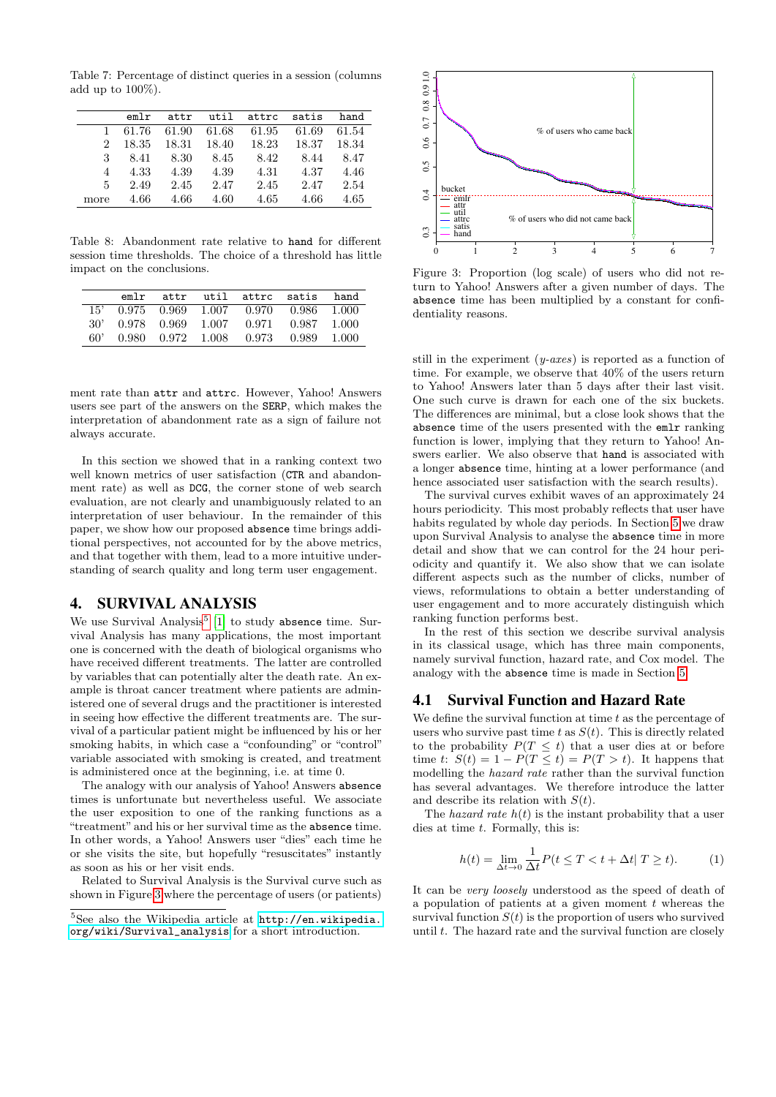<span id="page-4-1"></span>Table 7: Percentage of distinct queries in a session (columns add up to 100%).

|      | em1r  | attr  | util  | attrc | satis | hand  |
|------|-------|-------|-------|-------|-------|-------|
| 1.   | 61.76 | 61.90 | 61.68 | 61.95 | 61.69 | 61.54 |
| 2    | 18.35 | 18.31 | 18.40 | 18.23 | 18.37 | 18.34 |
| 3    | 8.41  | 8.30  | 8.45  | 8.42  | 8.44  | 8.47  |
| 4    | 4.33  | 4.39  | 4.39  | 4.31  | 4.37  | 4.46  |
| 5    | 2.49  | 2.45  | 2.47  | 2.45  | 2.47  | 2.54  |
| more | 4.66  | 4.66  | 4.60  | 4.65  | 4.66  | 4.65  |

<span id="page-4-2"></span>Table 8: Abandonment rate relative to hand for different session time thresholds. The choice of a threshold has little impact on the conclusions.

|     | emlr | attr              |       | util attrc satis |       | hand   |
|-----|------|-------------------|-------|------------------|-------|--------|
| 15' |      | 0.975 0.969 1.007 |       | 0.970            | 0.986 | 1.000  |
| 30' |      | 0.978 0.969       | 1.007 | 0.971            | 0.987 | -1.000 |
| 60' |      | 0.980 0.972 1.008 |       | 0.973            | 0.989 | 1.000  |

ment rate than attr and attrc. However, Yahoo! Answers users see part of the answers on the SERP, which makes the interpretation of abandonment rate as a sign of failure not always accurate.

In this section we showed that in a ranking context two well known metrics of user satisfaction (CTR and abandonment rate) as well as DCG, the corner stone of web search evaluation, are not clearly and unambiguously related to an interpretation of user behaviour. In the remainder of this paper, we show how our proposed absence time brings additional perspectives, not accounted for by the above metrics, and that together with them, lead to a more intuitive understanding of search quality and long term user engagement.

## <span id="page-4-0"></span>4. SURVIVAL ANALYSIS

We use Survival Analysis $^{5}$  $^{5}$  $^{5}$  [\[1\]](#page-9-16) to study absence time. Survival Analysis has many applications, the most important one is concerned with the death of biological organisms who have received different treatments. The latter are controlled by variables that can potentially alter the death rate. An example is throat cancer treatment where patients are administered one of several drugs and the practitioner is interested in seeing how effective the different treatments are. The survival of a particular patient might be influenced by his or her smoking habits, in which case a "confounding" or "control" variable associated with smoking is created, and treatment is administered once at the beginning, i.e. at time 0.

The analogy with our analysis of Yahoo! Answers absence times is unfortunate but nevertheless useful. We associate the user exposition to one of the ranking functions as a "treatment" and his or her survival time as the absence time. In other words, a Yahoo! Answers user "dies" each time he or she visits the site, but hopefully "resuscitates" instantly as soon as his or her visit ends.

Related to Survival Analysis is the Survival curve such as shown in Figure [3](#page-4-4) where the percentage of users (or patients)

<span id="page-4-4"></span>

Figure 3: Proportion (log scale) of users who did not return to Yahoo! Answers after a given number of days. The absence time has been multiplied by a constant for confidentiality reasons.

still in the experiment  $(y\text{-}axes)$  is reported as a function of time. For example, we observe that 40% of the users return to Yahoo! Answers later than 5 days after their last visit. One such curve is drawn for each one of the six buckets. The differences are minimal, but a close look shows that the absence time of the users presented with the emlr ranking function is lower, implying that they return to Yahoo! Answers earlier. We also observe that hand is associated with a longer absence time, hinting at a lower performance (and hence associated user satisfaction with the search results).

The survival curves exhibit waves of an approximately 24 hours periodicity. This most probably reflects that user have habits regulated by whole day periods. In Section [5](#page-5-0) we draw upon Survival Analysis to analyse the absence time in more detail and show that we can control for the 24 hour periodicity and quantify it. We also show that we can isolate different aspects such as the number of clicks, number of views, reformulations to obtain a better understanding of user engagement and to more accurately distinguish which ranking function performs best.

In the rest of this section we describe survival analysis in its classical usage, which has three main components, namely survival function, hazard rate, and Cox model. The analogy with the absence time is made in Section [5,](#page-5-0)

### 4.1 Survival Function and Hazard Rate

We define the survival function at time  $t$  as the percentage of users who survive past time t as  $S(t)$ . This is directly related to the probability  $P(T \leq t)$  that a user dies at or before time t:  $S(t) = 1 - P(T \le t) = P(T > t)$ . It happens that modelling the hazard rate rather than the survival function has several advantages. We therefore introduce the latter and describe its relation with  $S(t)$ .

The hazard rate  $h(t)$  is the instant probability that a user dies at time  $t$ . Formally, this is:

$$
h(t) = \lim_{\Delta t \to 0} \frac{1}{\Delta t} P(t \le T < t + \Delta t | T \ge t). \tag{1}
$$

It can be very loosely understood as the speed of death of a population of patients at a given moment  $t$  whereas the survival function  $S(t)$  is the proportion of users who survived until  $t$ . The hazard rate and the survival function are closely

<span id="page-4-3"></span><sup>5</sup>See also the Wikipedia article at [http://en.wikipedia.](http://en.wikipedia.org/wiki/Survival_analysis) [org/wiki/Survival\\_analysis](http://en.wikipedia.org/wiki/Survival_analysis) for a short introduction.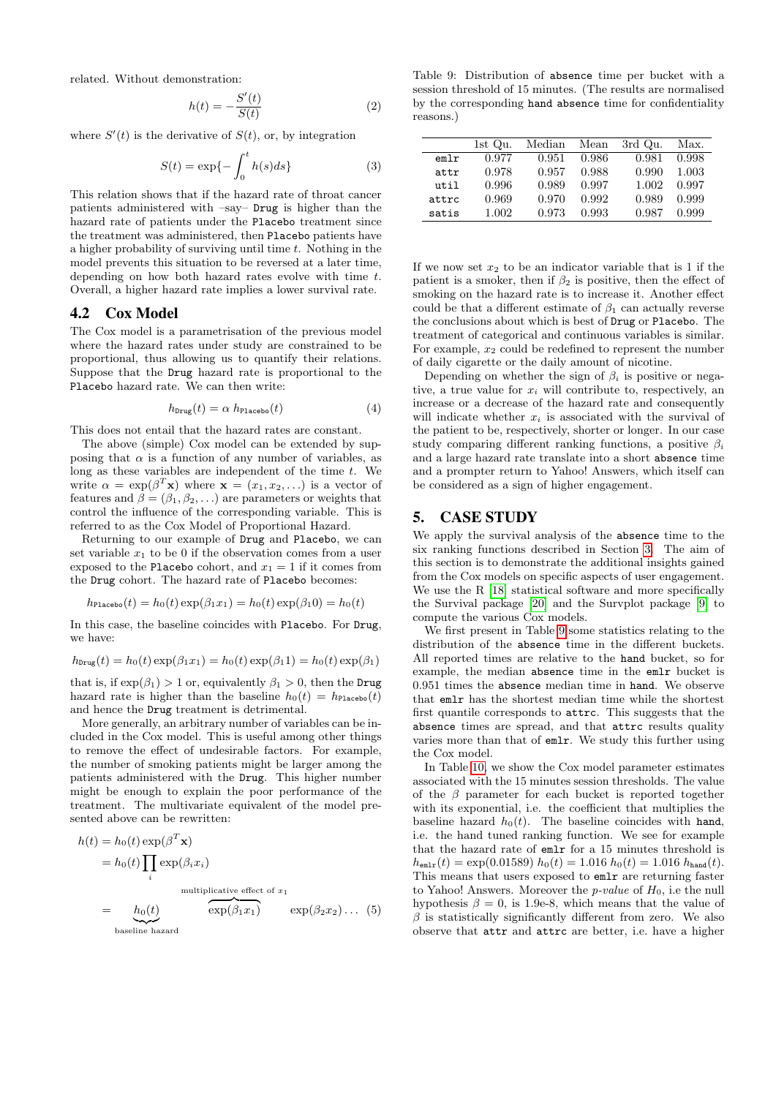related. Without demonstration:

$$
h(t) = -\frac{S'(t)}{S(t)}\tag{2}
$$

where  $S'(t)$  is the derivative of  $S(t)$ , or, by integration

$$
S(t) = \exp\{-\int_0^t h(s)ds\}
$$
 (3)

This relation shows that if the hazard rate of throat cancer patients administered with –say– Drug is higher than the hazard rate of patients under the Placebo treatment since the treatment was administered, then Placebo patients have a higher probability of surviving until time  $t$ . Nothing in the model prevents this situation to be reversed at a later time, depending on how both hazard rates evolve with time t. Overall, a higher hazard rate implies a lower survival rate.

#### 4.2 Cox Model

The Cox model is a parametrisation of the previous model where the hazard rates under study are constrained to be proportional, thus allowing us to quantify their relations. Suppose that the Drug hazard rate is proportional to the Placebo hazard rate. We can then write:

$$
h_{\text{Drug}}(t) = \alpha \ h_{\text{Placebo}}(t) \tag{4}
$$

This does not entail that the hazard rates are constant.

The above (simple) Cox model can be extended by supposing that  $\alpha$  is a function of any number of variables, as long as these variables are independent of the time  $t$ . We write  $\alpha = \exp(\beta^T \mathbf{x})$  where  $\mathbf{x} = (x_1, x_2, \ldots)$  is a vector of features and  $\beta = (\beta_1, \beta_2, \ldots)$  are parameters or weights that control the influence of the corresponding variable. This is referred to as the Cox Model of Proportional Hazard.

Returning to our example of Drug and Placebo, we can set variable  $x_1$  to be 0 if the observation comes from a user exposed to the Placebo cohort, and  $x_1 = 1$  if it comes from the Drug cohort. The hazard rate of Placebo becomes:

$$
h_{\text{Placebo}}(t) = h_0(t) \exp(\beta_1 x_1) = h_0(t) \exp(\beta_1 0) = h_0(t)
$$

In this case, the baseline coincides with Placebo. For Drug, we have:

$$
h_{\text{Drug}}(t) = h_0(t) \exp(\beta_1 x_1) = h_0(t) \exp(\beta_1 1) = h_0(t) \exp(\beta_1)
$$

that is, if  $\exp(\beta_1) > 1$  or, equivalently  $\beta_1 > 0$ , then the Drug hazard rate is higher than the baseline  $h_0(t) = h_{\text{Placebo}}(t)$ and hence the Drug treatment is detrimental.

More generally, an arbitrary number of variables can be included in the Cox model. This is useful among other things to remove the effect of undesirable factors. For example, the number of smoking patients might be larger among the patients administered with the Drug. This higher number might be enough to explain the poor performance of the treatment. The multivariate equivalent of the model presented above can be rewritten:

$$
h(t) = h_0(t) \exp(\beta^T \mathbf{x})
$$
  
=  $h_0(t) \prod_i \exp(\beta_i x_i)$   
=  $\underbrace{h_0(t)}_{\text{baseline hazard}}$ 

<span id="page-5-1"></span>Table 9: Distribution of absence time per bucket with a session threshold of 15 minutes. (The results are normalised by the corresponding hand absence time for confidentiality reasons.)

|       | 1st Qu. | Median | Mean  | 3rd Qu. | Max.  |
|-------|---------|--------|-------|---------|-------|
| em1r  | 0.977   | 0.951  | 0.986 | 0.981   | 0.998 |
| attr  | 0.978   | 0.957  | 0.988 | 0.990   | 1.003 |
| util  | 0.996   | 0.989  | 0.997 | 1.002   | 0.997 |
| attrc | 0.969   | 0.970  | 0.992 | 0.989   | 0.999 |
| satis | 1.002   | 0.973  | 0.993 | 0.987   | 0.999 |
|       |         |        |       |         |       |

If we now set  $x_2$  to be an indicator variable that is 1 if the patient is a smoker, then if  $\beta_2$  is positive, then the effect of smoking on the hazard rate is to increase it. Another effect could be that a different estimate of  $\beta_1$  can actually reverse the conclusions about which is best of Drug or Placebo. The treatment of categorical and continuous variables is similar. For example,  $x_2$  could be redefined to represent the number of daily cigarette or the daily amount of nicotine.

Depending on whether the sign of  $\beta_i$  is positive or negative, a true value for  $x_i$  will contribute to, respectively, an increase or a decrease of the hazard rate and consequently will indicate whether  $x_i$  is associated with the survival of the patient to be, respectively, shorter or longer. In our case study comparing different ranking functions, a positive  $\beta_i$ and a large hazard rate translate into a short absence time and a prompter return to Yahoo! Answers, which itself can be considered as a sign of higher engagement.

## <span id="page-5-0"></span>5. CASE STUDY

We apply the survival analysis of the absence time to the six ranking functions described in Section [3.](#page-1-1) The aim of this section is to demonstrate the additional insights gained from the Cox models on specific aspects of user engagement. We use the R [\[18\]](#page-9-17) statistical software and more specifically the Survival package [\[20\]](#page-9-18) and the Survplot package [\[9\]](#page-9-19) to compute the various Cox models.

We first present in Table [9](#page-5-1) some statistics relating to the distribution of the absence time in the different buckets. All reported times are relative to the hand bucket, so for example, the median absence time in the emlr bucket is 0.951 times the absence median time in hand. We observe that emlr has the shortest median time while the shortest first quantile corresponds to attrc. This suggests that the absence times are spread, and that attrc results quality varies more than that of emlr. We study this further using the Cox model.

In Table [10,](#page-6-0) we show the Cox model parameter estimates associated with the 15 minutes session thresholds. The value of the  $\beta$  parameter for each bucket is reported together with its exponential, i.e. the coefficient that multiplies the baseline hazard  $h_0(t)$ . The baseline coincides with hand, i.e. the hand tuned ranking function. We see for example that the hazard rate of emlr for a 15 minutes threshold is  $h_{\text{enlr}}(t) = \exp(0.01589) h_0(t) = 1.016 h_0(t) = 1.016 h_{\text{hand}}(t).$ This means that users exposed to emlr are returning faster to Yahoo! Answers. Moreover the *p-value* of  $H_0$ , i.e the null hypothesis  $\beta = 0$ , is 1.9e-8, which means that the value of  $\beta$  is statistically significantly different from zero. We also observe that attr and attrc are better, i.e. have a higher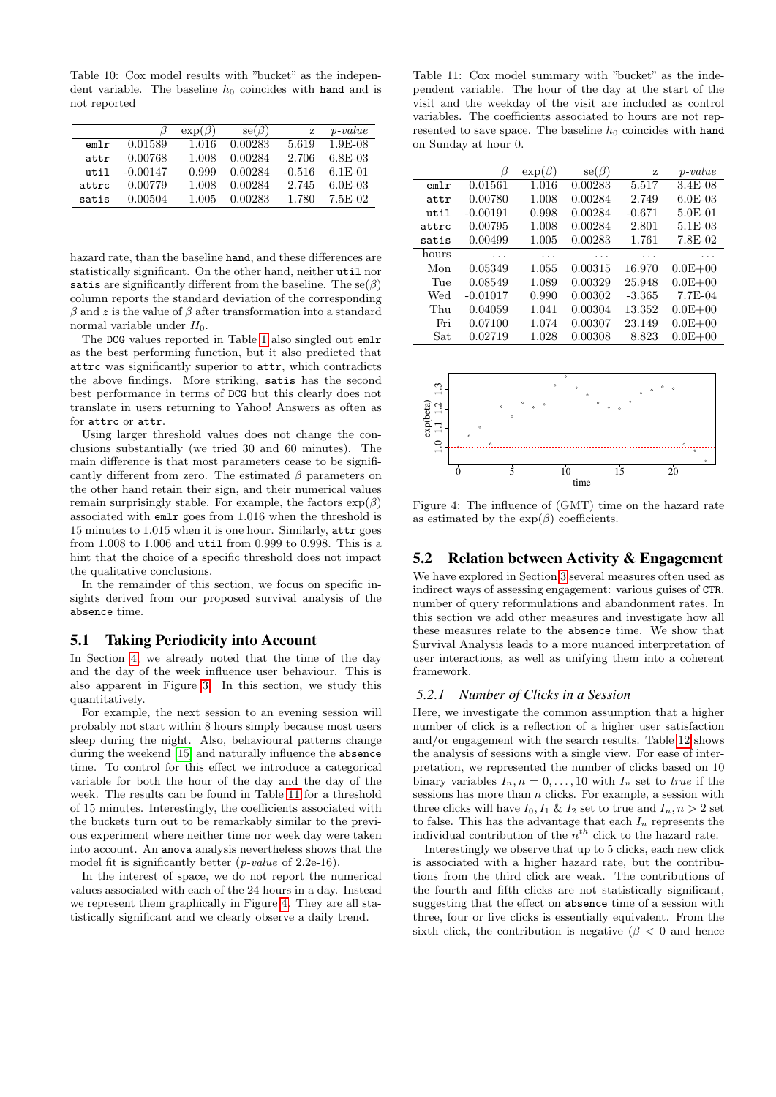<span id="page-6-0"></span>Table 10: Cox model results with "bucket" as the independent variable. The baseline  $h_0$  coincides with hand and is not reported

|       | 13         | $\exp(\beta)$ | $se(\beta)$ | $\mathbf{z}$ | $p-value$  |
|-------|------------|---------------|-------------|--------------|------------|
| em1r  | 0.01589    | 1.016         | 0.00283     | 5.619        | 1.9E-08    |
| attr  | 0.00768    | 1.008         | 0.00284     | 2.706        | $6.8E-0.3$ |
| util  | $-0.00147$ | 0.999         | 0.00284     | $-0.516$     | $6.1E-01$  |
| attrc | 0.00779    | 1.008         | 0.00284     | 2.745        | $6.0E-03$  |
| satis | 0.00504    | 1.005         | 0.00283     | 1.780        | 7.5E-02    |

hazard rate, than the baseline hand, and these differences are statistically significant. On the other hand, neither util nor satis are significantly different from the baseline. The  $se(\beta)$ column reports the standard deviation of the corresponding  $\beta$  and z is the value of  $\beta$  after transformation into a standard normal variable under  $H_0$ .

The DCG values reported in Table [1](#page-2-0) also singled out emlr as the best performing function, but it also predicted that attrc was significantly superior to attr, which contradicts the above findings. More striking, satis has the second best performance in terms of DCG but this clearly does not translate in users returning to Yahoo! Answers as often as for attrc or attr.

Using larger threshold values does not change the conclusions substantially (we tried 30 and 60 minutes). The main difference is that most parameters cease to be significantly different from zero. The estimated  $\beta$  parameters on the other hand retain their sign, and their numerical values remain surprisingly stable. For example, the factors  $\exp(\beta)$ associated with emlr goes from 1.016 when the threshold is 15 minutes to 1.015 when it is one hour. Similarly, attr goes from 1.008 to 1.006 and util from 0.999 to 0.998. This is a hint that the choice of a specific threshold does not impact the qualitative conclusions.

In the remainder of this section, we focus on specific insights derived from our proposed survival analysis of the absence time.

### 5.1 Taking Periodicity into Account

In Section [4,](#page-4-0) we already noted that the time of the day and the day of the week influence user behaviour. This is also apparent in Figure [3.](#page-4-4) In this section, we study this quantitatively.

For example, the next session to an evening session will probably not start within 8 hours simply because most users sleep during the night. Also, behavioural patterns change during the weekend [\[15\]](#page-9-12) and naturally influence the absence time. To control for this effect we introduce a categorical variable for both the hour of the day and the day of the week. The results can be found in Table [11](#page-6-1) for a threshold of 15 minutes. Interestingly, the coefficients associated with the buckets turn out to be remarkably similar to the previous experiment where neither time nor week day were taken into account. An anova analysis nevertheless shows that the model fit is significantly better (*p-value* of 2.2e-16).

In the interest of space, we do not report the numerical values associated with each of the 24 hours in a day. Instead we represent them graphically in Figure [4.](#page-6-2) They are all statistically significant and we clearly observe a daily trend.

<span id="page-6-1"></span>Table 11: Cox model summary with "bucket" as the independent variable. The hour of the day at the start of the visit and the weekday of the visit are included as control variables. The coefficients associated to hours are not represented to save space. The baseline  $h_0$  coincides with hand on Sunday at hour 0.

|       | β          | $\exp(\beta)$ | $\operatorname{se}(\beta)$ | z        | $p-value$   |
|-------|------------|---------------|----------------------------|----------|-------------|
| em1r  | 0.01561    | 1.016         | 0.00283                    | 5.517    | $3.4E-08$   |
| attr  | 0.00780    | 1.008         | 0.00284                    | 2.749    | $6.0E-03$   |
| util  | $-0.00191$ | 0.998         | 0.00284                    | $-0.671$ | 5.0E-01     |
| attrc | 0.00795    | 1.008         | 0.00284                    | 2.801    | $5.1E-03$   |
| satis | 0.00499    | 1.005         | 0.00283                    | 1.761    | 7.8E-02     |
| hours |            |               |                            |          |             |
| Mon   | 0.05349    | 1.055         | 0.00315                    | 16.970   | $0.0E + 00$ |
| Tue   | 0.08549    | 1.089         | 0.00329                    | 25.948   | $0.0E + 00$ |
| Wed   | $-0.01017$ | 0.990         | 0.00302                    | $-3.365$ | 7.7E-04     |
| Thu   | 0.04059    | 1.041         | 0.00304                    | 13.352   | $0.0E + 00$ |
| Fri   | 0.07100    | 1.074         | 0.00307                    | 23.149   | $0.0E + 00$ |
| Sat   | 0.02719    | 1.028         | 0.00308                    | 8.823    | $0.0E + 00$ |

<span id="page-6-2"></span>

Figure 4: The influence of (GMT) time on the hazard rate as estimated by the  $\exp(\beta)$  coefficients.

## 5.2 Relation between Activity & Engagement

We have explored in Section [3](#page-1-1) several measures often used as indirect ways of assessing engagement: various guises of CTR, number of query reformulations and abandonment rates. In this section we add other measures and investigate how all these measures relate to the absence time. We show that Survival Analysis leads to a more nuanced interpretation of user interactions, as well as unifying them into a coherent framework.

#### <span id="page-6-3"></span>*5.2.1 Number of Clicks in a Session*

Here, we investigate the common assumption that a higher number of click is a reflection of a higher user satisfaction and/or engagement with the search results. Table [12](#page-7-0) shows the analysis of sessions with a single view. For ease of interpretation, we represented the number of clicks based on 10 binary variables  $I_n, n = 0, \ldots, 10$  with  $I_n$  set to true if the sessions has more than  $n$  clicks. For example, a session with three clicks will have  $I_0$ ,  $I_1$  &  $I_2$  set to true and  $I_n$ ,  $n > 2$  set to false. This has the advantage that each  $I_n$  represents the individual contribution of the  $n^{th}$  click to the hazard rate.

Interestingly we observe that up to 5 clicks, each new click is associated with a higher hazard rate, but the contributions from the third click are weak. The contributions of the fourth and fifth clicks are not statistically significant, suggesting that the effect on absence time of a session with three, four or five clicks is essentially equivalent. From the sixth click, the contribution is negative ( $\beta$  < 0 and hence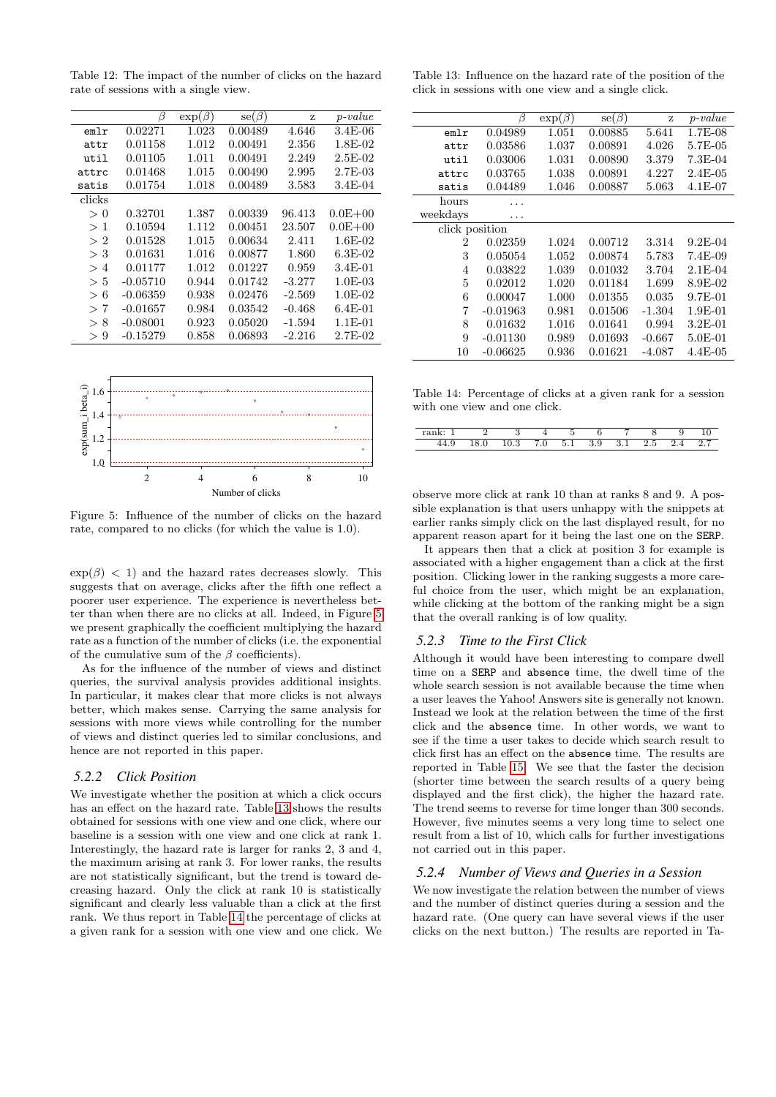<span id="page-7-0"></span>Table 12: The impact of the number of clicks on the hazard rate of sessions with a single view.

|        | ß          | $\exp(\beta)$ | $\text{se}(\beta)$ | z        | $p-value$   |
|--------|------------|---------------|--------------------|----------|-------------|
| em1r   | 0.02271    | 1.023         | 0.00489            | 4.646    | $3.4E-06$   |
| attr   | 0.01158    | 1.012         | 0.00491            | 2.356    | $1.8E-02$   |
| util   | 0.01105    | 1.011         | 0.00491            | 2.249    | $2.5E-02$   |
| attrc  | 0.01468    | 1.015         | 0.00490            | 2.995    | $2.7E-03$   |
| satis  | 0.01754    | 1.018         | 0.00489            | 3.583    | $3.4E-04$   |
| clicks |            |               |                    |          |             |
| > 0    | 0.32701    | 1.387         | 0.00339            | 96.413   | $0.0E + 00$ |
| >1     | 0.10594    | 1.112         | 0.00451            | 23.507   | $0.0E + 00$ |
| >2     | 0.01528    | 1.015         | 0.00634            | 2.411    | $1.6E-02$   |
| $>$ 3  | 0.01631    | 1.016         | 0.00877            | 1.860    | $6.3E-02$   |
| >4     | 0.01177    | 1.012         | 0.01227            | 0.959    | 3.4E-01     |
| > 5    | $-0.05710$ | 0.944         | 0.01742            | $-3.277$ | $1.0E-03$   |
| > 6    | $-0.06359$ | 0.938         | 0.02476            | $-2.569$ | $1.0E-02$   |
| >7     | $-0.01657$ | 0.984         | 0.03542            | $-0.468$ | $6.4E-01$   |
| > 8    | $-0.08001$ | 0.923         | 0.05020            | $-1.594$ | $1.1E-01$   |
| >9     | $-0.15279$ | 0.858         | 0.06893            | $-2.216$ | 2.7E-02     |

<span id="page-7-1"></span>

Figure 5: Influence of the number of clicks on the hazard rate, compared to no clicks (for which the value is 1.0).

 $\exp(\beta)$  < 1) and the hazard rates decreases slowly. This suggests that on average, clicks after the fifth one reflect a poorer user experience. The experience is nevertheless better than when there are no clicks at all. Indeed, in Figure [5](#page-7-1) we present graphically the coefficient multiplying the hazard rate as a function of the number of clicks (i.e. the exponential of the cumulative sum of the  $\beta$  coefficients).

As for the influence of the number of views and distinct queries, the survival analysis provides additional insights. In particular, it makes clear that more clicks is not always better, which makes sense. Carrying the same analysis for sessions with more views while controlling for the number of views and distinct queries led to similar conclusions, and hence are not reported in this paper.

#### <span id="page-7-4"></span>*5.2.2 Click Position*

We investigate whether the position at which a click occurs has an effect on the hazard rate. Table [13](#page-7-2) shows the results obtained for sessions with one view and one click, where our baseline is a session with one view and one click at rank 1. Interestingly, the hazard rate is larger for ranks 2, 3 and 4, the maximum arising at rank 3. For lower ranks, the results are not statistically significant, but the trend is toward decreasing hazard. Only the click at rank 10 is statistically significant and clearly less valuable than a click at the first rank. We thus report in Table [14](#page-7-3) the percentage of clicks at a given rank for a session with one view and one click. We

<span id="page-7-2"></span>Table 13: Influence on the hazard rate of the position of the click in sessions with one view and a single click.

|                | β          | $\exp(\beta)$ | $se(\beta)$ | z        | $p-value$   |
|----------------|------------|---------------|-------------|----------|-------------|
| em1r           | 0.04989    | 1.051         | 0.00885     | 5.641    | $1.7E-08$   |
| attr           | 0.03586    | 1.037         | 0.00891     | 4.026    | 5.7E-05     |
| util           | 0.03006    | 1.031         | 0.00890     | 3.379    | 7.3E-04     |
| attrc          | 0.03765    | 1.038         | 0.00891     | 4.227    | $2.4E - 05$ |
| satis          | 0.04489    | 1.046         | 0.00887     | 5.063    | $4.1E-07$   |
| hours          |            |               |             |          |             |
| weekdays       |            |               |             |          |             |
| click position |            |               |             |          |             |
| 2              | 0.02359    | 1.024         | 0.00712     | 3.314    | $9.2E-04$   |
| 3              | 0.05054    | 1.052         | 0.00874     | 5.783    | 7.4E-09     |
| $\overline{4}$ | 0.03822    | 1.039         | 0.01032     | 3.704    | $2.1E-04$   |
| 5              | 0.02012    | 1.020         | 0.01184     | 1.699    | $8.9E-02$   |
| 6              | 0.00047    | 1.000         | 0.01355     | 0.035    | 9.7E-01     |
| 7              | $-0.01963$ | 0.981         | 0.01506     | $-1.304$ | $1.9E-01$   |
| 8              | 0.01632    | 1.016         | 0.01641     | 0.994    | $3.2E - 01$ |
| 9              | $-0.01130$ | 0.989         | 0.01693     | $-0.667$ | 5.0E-01     |
| 10             | $-0.06625$ | 0.936         | 0.01621     | $-4.087$ | $4.4E-05$   |

<span id="page-7-3"></span>Table 14: Percentage of clicks at a given rank for a session with one view and one click.

|  |  | <b>SECTION</b> |  |  |  |
|--|--|----------------|--|--|--|
|  |  |                |  |  |  |

observe more click at rank 10 than at ranks 8 and 9. A possible explanation is that users unhappy with the snippets at earlier ranks simply click on the last displayed result, for no apparent reason apart for it being the last one on the SERP.

It appears then that a click at position 3 for example is associated with a higher engagement than a click at the first position. Clicking lower in the ranking suggests a more careful choice from the user, which might be an explanation, while clicking at the bottom of the ranking might be a sign that the overall ranking is of low quality.

### *5.2.3 Time to the First Click*

Although it would have been interesting to compare dwell time on a SERP and absence time, the dwell time of the whole search session is not available because the time when a user leaves the Yahoo! Answers site is generally not known. Instead we look at the relation between the time of the first click and the absence time. In other words, we want to see if the time a user takes to decide which search result to click first has an effect on the absence time. The results are reported in Table [15.](#page-8-0) We see that the faster the decision (shorter time between the search results of a query being displayed and the first click), the higher the hazard rate. The trend seems to reverse for time longer than 300 seconds. However, five minutes seems a very long time to select one result from a list of 10, which calls for further investigations not carried out in this paper.

#### *5.2.4 Number of Views and Queries in a Session*

We now investigate the relation between the number of views and the number of distinct queries during a session and the hazard rate. (One query can have several views if the user clicks on the next button.) The results are reported in Ta-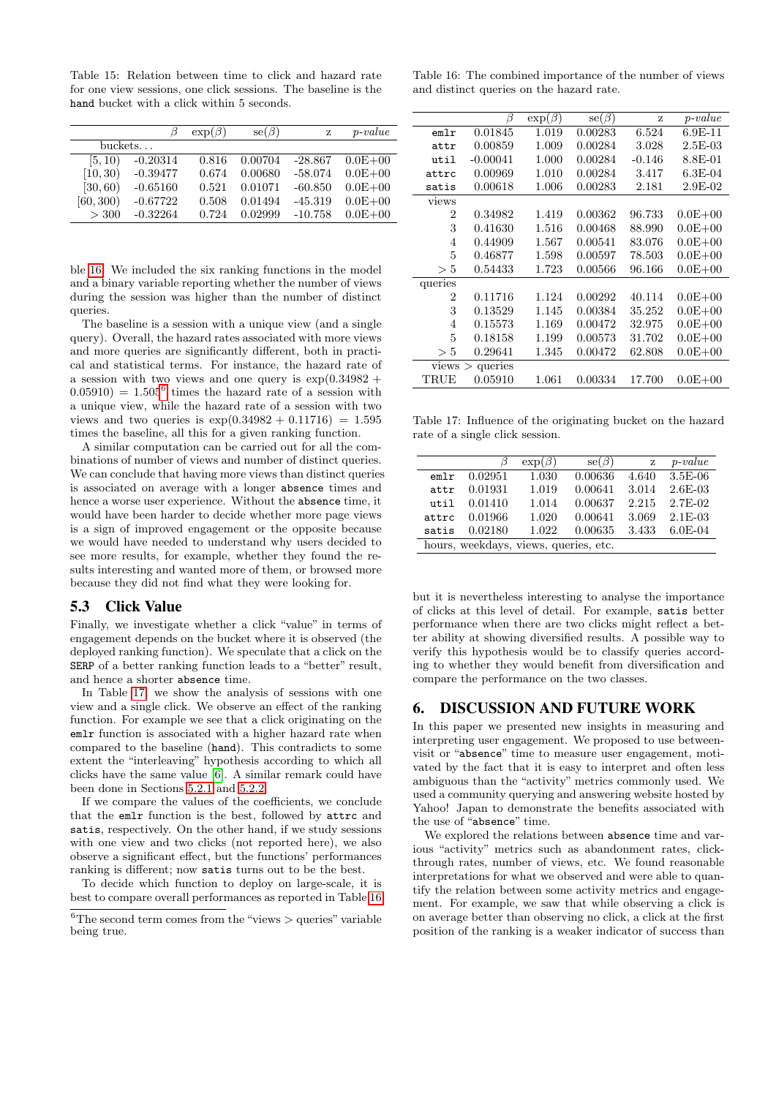<span id="page-8-0"></span>Table 15: Relation between time to click and hazard rate for one view sessions, one click sessions. The baseline is the hand bucket with a click within 5 seconds.

|           |            | $\exp(\beta)$ | $\text{se}(\beta)$ | z         | $p-value$    |
|-----------|------------|---------------|--------------------|-----------|--------------|
| buckets   |            |               |                    |           |              |
| [5, 10)   | $-0.20314$ | 0.816         | 0.00704            | $-28.867$ | $0.0E + 0.0$ |
| [10, 30)  | $-0.39477$ | 0.674         | 0.00680            | $-58.074$ | $0.0E + 00$  |
| [30, 60)  | $-0.65160$ | 0.521         | 0.01071            | $-60.850$ | $0.0E + 00$  |
| [60, 300) | $-0.67722$ | 0.508         | 0.01494            | $-45.319$ | $0.0E + 00$  |
| > 300     | $-0.32264$ | 0.724         | 0.02999            | $-10.758$ | $0.0E + 00$  |

ble [16.](#page-8-1) We included the six ranking functions in the model and a binary variable reporting whether the number of views during the session was higher than the number of distinct queries.

The baseline is a session with a unique view (and a single query). Overall, the hazard rates associated with more views and more queries are significantly different, both in practical and statistical terms. For instance, the hazard rate of a session with two views and one query is  $\exp(0.34982 +$  $(0.05910) = 1.505<sup>6</sup>$  $(0.05910) = 1.505<sup>6</sup>$  $(0.05910) = 1.505<sup>6</sup>$  times the hazard rate of a session with a unique view, while the hazard rate of a session with two views and two queries is  $\exp(0.34982 + 0.11716) = 1.595$ times the baseline, all this for a given ranking function.

A similar computation can be carried out for all the combinations of number of views and number of distinct queries. We can conclude that having more views than distinct queries is associated on average with a longer absence times and hence a worse user experience. Without the absence time, it would have been harder to decide whether more page views is a sign of improved engagement or the opposite because we would have needed to understand why users decided to see more results, for example, whether they found the results interesting and wanted more of them, or browsed more because they did not find what they were looking for.

### 5.3 Click Value

Finally, we investigate whether a click "value" in terms of engagement depends on the bucket where it is observed (the deployed ranking function). We speculate that a click on the SERP of a better ranking function leads to a "better" result. and hence a shorter absence time.

In Table [17,](#page-8-3) we show the analysis of sessions with one view and a single click. We observe an effect of the ranking function. For example we see that a click originating on the emlr function is associated with a higher hazard rate when compared to the baseline (hand). This contradicts to some extent the "interleaving" hypothesis according to which all clicks have the same value [\[6\]](#page-9-9). A similar remark could have been done in Sections [5.2.1](#page-6-3) and [5.2.2.](#page-7-4)

If we compare the values of the coefficients, we conclude that the emlr function is the best, followed by attrc and satis, respectively. On the other hand, if we study sessions with one view and two clicks (not reported here), we also observe a significant effect, but the functions' performances ranking is different; now satis turns out to be the best.

To decide which function to deploy on large-scale, it is best to compare overall performances as reported in Table [16](#page-8-1)

<span id="page-8-1"></span>Table 16: The combined importance of the number of views and distinct queries on the hazard rate.

|                   | B          | $\exp(\beta)$ | $\text{se}(\beta)$ | Z        | $p-value$   |
|-------------------|------------|---------------|--------------------|----------|-------------|
| em1r              | 0.01845    | 1.019         | 0.00283            | 6.524    | $6.9E-11$   |
|                   |            |               |                    |          |             |
| attr              | 0.00859    | 1.009         | 0.00284            | 3.028    | $2.5E-03$   |
| util              | $-0.00041$ | 1.000         | 0.00284            | $-0.146$ | 8.8E-01     |
| attrc             | 0.00969    | 1.010         | 0.00284            | 3.417    | $6.3E-04$   |
| satis             | 0.00618    | 1.006         | 0.00283            | 2.181    | 2.9E-02     |
| views             |            |               |                    |          |             |
| 2                 | 0.34982    | 1.419         | 0.00362            | 96.733   | $0.0E + 00$ |
| 3                 | 0.41630    | 1.516         | 0.00468            | 88.990   | $0.0E + 00$ |
| 4                 | 0.44909    | 1.567         | 0.00541            | 83.076   | $0.0E + 00$ |
| 5                 | 0.46877    | 1.598         | 0.00597            | 78.503   | $0.0E + 00$ |
| 5<br>$\mathbf{L}$ | 0.54433    | 1.723         | 0.00566            | 96.166   | $0.0E + 00$ |
| queries           |            |               |                    |          |             |
| 2                 | 0.11716    | 1.124         | 0.00292            | 40.114   | $0.0E + 00$ |
| 3                 | 0.13529    | 1.145         | 0.00384            | 35.252   | $0.0E + 00$ |
| 4                 | 0.15573    | 1.169         | 0.00472            | 32.975   | $0.0E + 00$ |
| 5                 | 0.18158    | 1.199         | 0.00573            | 31.702   | $0.0E + 00$ |
| 5<br>$\geq$       | 0.29641    | 1.345         | 0.00472            | 62.808   | $0.0E + 00$ |
| views             | queries    |               |                    |          |             |
| TRUE              | 0.05910    | 1.061         | 0.00334            | 17.700   | $0.0E + 00$ |

<span id="page-8-3"></span>Table 17: Influence of the originating bucket on the hazard rate of a single click session.

|                                       | 13      | $\exp(\beta)$ | $\text{se}(\beta)$ | z     | $p-value$ |  |
|---------------------------------------|---------|---------------|--------------------|-------|-----------|--|
| em1r                                  | 0.02951 | 1.030         | 0.00636            | 4.640 | $3.5E-06$ |  |
| attr                                  | 0.01931 | 1.019         | 0.00641            | 3.014 | $2.6E-03$ |  |
| util                                  | 0.01410 | 1.014         | 0.00637            | 2.215 | $2.7E-02$ |  |
| attrc                                 | 0.01966 | 1.020         | 0.00641            | 3.069 | $2.1E-03$ |  |
| satis                                 | 0.02180 | 1.022         | 0.00635            | 3.433 | $6.0E-04$ |  |
| hours, weekdays, views, queries, etc. |         |               |                    |       |           |  |

but it is nevertheless interesting to analyse the importance of clicks at this level of detail. For example, satis better performance when there are two clicks might reflect a better ability at showing diversified results. A possible way to verify this hypothesis would be to classify queries according to whether they would benefit from diversification and compare the performance on the two classes.

## 6. DISCUSSION AND FUTURE WORK

In this paper we presented new insights in measuring and interpreting user engagement. We proposed to use betweenvisit or "absence" time to measure user engagement, motivated by the fact that it is easy to interpret and often less ambiguous than the "activity" metrics commonly used. We used a community querying and answering website hosted by Yahoo! Japan to demonstrate the benefits associated with the use of "absence" time.

We explored the relations between absence time and various "activity" metrics such as abandonment rates, clickthrough rates, number of views, etc. We found reasonable interpretations for what we observed and were able to quantify the relation between some activity metrics and engagement. For example, we saw that while observing a click is on average better than observing no click, a click at the first position of the ranking is a weaker indicator of success than

<span id="page-8-2"></span> ${}^{6}$ The second term comes from the "views  $>$  queries" variable being true.